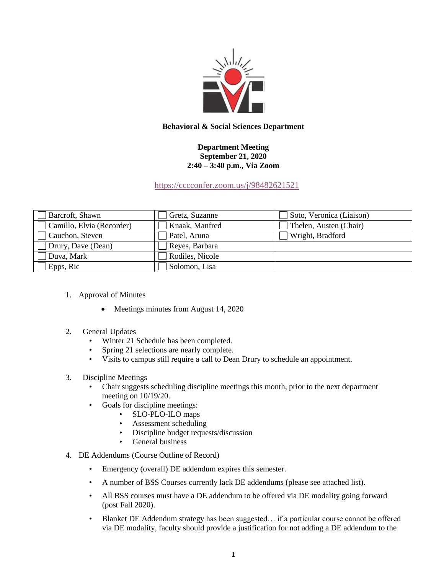

## **Behavioral & Social Sciences Department**

## **Department Meeting September 21, 2020 2:40 – 3:40 p.m., Via Zoom**

<https://cccconfer.zoom.us/j/98482621521>

| Barcroft, Shawn           | Gretz, Suzanne  | Soto, Veronica (Liaison) |
|---------------------------|-----------------|--------------------------|
| Camillo, Elvia (Recorder) | Knaak, Manfred  | Thelen, Austen (Chair)   |
| Cauchon, Steven           | Patel, Aruna    | Wright, Bradford         |
| Drury, Dave (Dean)        | Reyes, Barbara  |                          |
| Duva, Mark                | Rodiles, Nicole |                          |
| Epps, Ric                 | Solomon, Lisa   |                          |

- 1. Approval of Minutes
	- Meetings minutes from August 14, 2020
- 2. General Updates
	- Winter 21 Schedule has been completed.
	- Spring 21 selections are nearly complete.
	- Visits to campus still require a call to Dean Drury to schedule an appointment.
- 3. Discipline Meetings
	- Chair suggests scheduling discipline meetings this month, prior to the next department meeting on 10/19/20.
	- Goals for discipline meetings:
		- SLO-PLO-ILO maps
		- Assessment scheduling
		- Discipline budget requests/discussion
		- General business
- 4. DE Addendums (Course Outline of Record)
	- Emergency (overall) DE addendum expires this semester.
	- A number of BSS Courses currently lack DE addendums (please see attached list).
	- All BSS courses must have a DE addendum to be offered via DE modality going forward (post Fall 2020).
	- Blanket DE Addendum strategy has been suggested... if a particular course cannot be offered via DE modality, faculty should provide a justification for not adding a DE addendum to the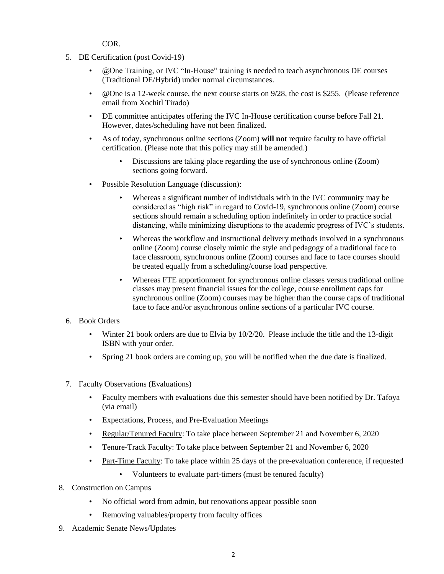COR.

- 5. DE Certification (post Covid-19)
	- @One Training, or IVC "In-House" training is needed to teach asynchronous DE courses (Traditional DE/Hybrid) under normal circumstances.
	- @ One is a 12-week course, the next course starts on 9/28, the cost is \$255. (Please reference email from Xochitl Tirado)
	- DE committee anticipates offering the IVC In-House certification course before Fall 21. However, dates/scheduling have not been finalized.
	- As of today, synchronous online sections (Zoom) **will not** require faculty to have official certification. (Please note that this policy may still be amended.)
		- Discussions are taking place regarding the use of synchronous online (Zoom) sections going forward.
	- Possible Resolution Language (discussion):
		- Whereas a significant number of individuals with in the IVC community may be considered as "high risk" in regard to Covid-19, synchronous online (Zoom) course sections should remain a scheduling option indefinitely in order to practice social distancing, while minimizing disruptions to the academic progress of IVC's students.
		- Whereas the workflow and instructional delivery methods involved in a synchronous online (Zoom) course closely mimic the style and pedagogy of a traditional face to face classroom, synchronous online (Zoom) courses and face to face courses should be treated equally from a scheduling/course load perspective.
		- Whereas FTE apportionment for synchronous online classes versus traditional online classes may present financial issues for the college, course enrollment caps for synchronous online (Zoom) courses may be higher than the course caps of traditional face to face and/or asynchronous online sections of a particular IVC course.

## 6. Book Orders

- Winter 21 book orders are due to Elvia by 10/2/20. Please include the title and the 13-digit ISBN with your order.
- Spring 21 book orders are coming up, you will be notified when the due date is finalized.
- 7. Faculty Observations (Evaluations)
	- Faculty members with evaluations due this semester should have been notified by Dr. Tafoya (via email)
	- Expectations, Process, and Pre-Evaluation Meetings
	- Regular/Tenured Faculty: To take place between September 21 and November 6, 2020
	- Tenure-Track Faculty: To take place between September 21 and November 6, 2020
	- Part-Time Faculty: To take place within 25 days of the pre-evaluation conference, if requested
		- Volunteers to evaluate part-timers (must be tenured faculty)
- 8. Construction on Campus
	- No official word from admin, but renovations appear possible soon
	- Removing valuables/property from faculty offices
- 9. Academic Senate News/Updates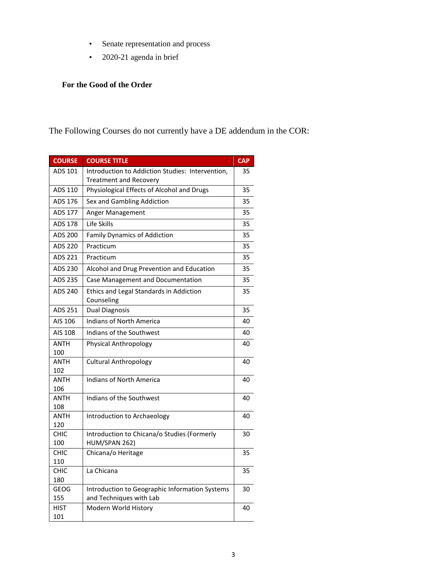- Senate representation and process
- 2020-21 agenda in brief

## **For the Good of the Order**

The Following Courses do not currently have a DE addendum in the COR:

| <b>COURSE</b>      | <b>COURSE TITLE</b>                                                               | <b>CAP</b> |
|--------------------|-----------------------------------------------------------------------------------|------------|
| ADS 101            | Introduction to Addiction Studies: Intervention,<br><b>Treatment and Recovery</b> | 35         |
| ADS 110            | Physiological Effects of Alcohol and Drugs                                        | 35         |
| ADS 176            | Sex and Gambling Addiction                                                        | 35         |
| ADS 177            | Anger Management                                                                  | 35         |
| ADS 178            | Life Skills                                                                       | 35         |
| ADS 200            | <b>Family Dynamics of Addiction</b>                                               | 35         |
| ADS 220            | Practicum                                                                         | 35         |
| ADS 221            | Practicum                                                                         | 35         |
| ADS 230            | Alcohol and Drug Prevention and Education                                         | 35         |
| ADS 235            | Case Management and Documentation                                                 | 35         |
| ADS 240            | Ethics and Legal Standards in Addiction<br>Counseling                             | 35         |
| ADS 251            | <b>Dual Diagnosis</b>                                                             | 35         |
| AIS 106            | Indians of North America                                                          | 40         |
| AIS 108            | Indians of the Southwest                                                          | 40         |
| <b>ANTH</b><br>100 | Physical Anthropology                                                             | 40         |
| <b>ANTH</b><br>102 | <b>Cultural Anthropology</b>                                                      | 40         |
| <b>ANTH</b><br>106 | Indians of North America                                                          | 40         |
| <b>ANTH</b><br>108 | Indians of the Southwest                                                          | 40         |
| <b>ANTH</b><br>120 | Introduction to Archaeology                                                       | 40         |
| сніс               | Introduction to Chicana/o Studies (Formerly                                       | 30         |
| 100                | HUM/SPAN 262)                                                                     |            |
| <b>CHIC</b><br>110 | Chicana/o Heritage                                                                | 35         |
| <b>CHIC</b>        | La Chicana                                                                        | 35         |
| 180                |                                                                                   |            |
| <b>GEOG</b>        | Introduction to Geographic Information Systems                                    | 30         |
| 155                | and Techniques with Lab                                                           |            |
| HIST<br>101        | Modern World History                                                              | 40         |